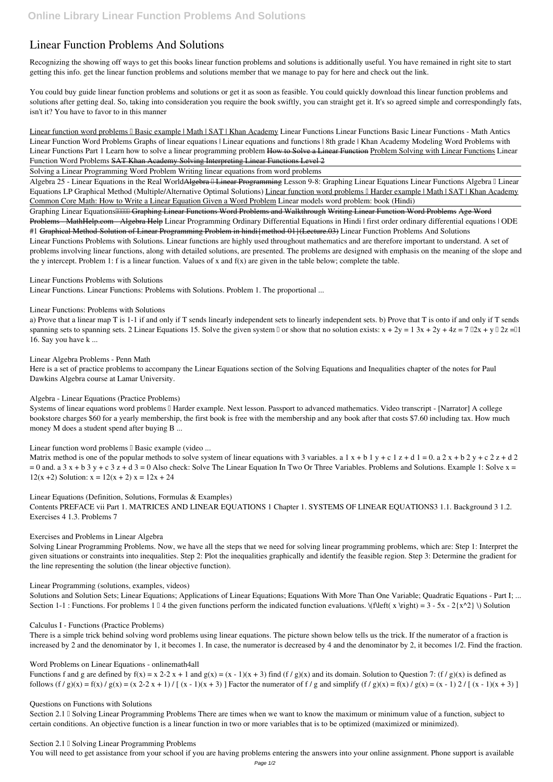# **Linear Function Problems And Solutions**

Recognizing the showing off ways to get this books **linear function problems and solutions** is additionally useful. You have remained in right site to start getting this info. get the linear function problems and solutions member that we manage to pay for here and check out the link.

You could buy guide linear function problems and solutions or get it as soon as feasible. You could quickly download this linear function problems and solutions after getting deal. So, taking into consideration you require the book swiftly, you can straight get it. It's so agreed simple and correspondingly fats, isn't it? You have to favor to in this manner

Linear function word problems I Basic example | Math | SAT | Khan Academy Linear Functions Linear Functions Basic Linear Functions - Math Antics Linear Function Word Problems **Graphs of linear equations | Linear equations and functions | 8th grade | Khan Academy Modeling Word Problems with Linear Functions Part 1** Learn how to solve a linear programming problem How to Solve a Linear Function Problem Solving with Linear Functions *Linear Function Word Problems* SAT Khan Academy Solving Interpreting Linear Functions Level 2

Algebra 25 - Linear Equations in the Real World<del>Algebra II Linear Programming</del> Lesson 9-8: Graphing Linear Equations Linear Functions Algebra II Linear Equations LP Graphical Method (Multiple/Alternative Optimal Solutions) Linear function word problems II Harder example | Math | SAT | Khan Academy Common Core Math: How to Write a Linear Equation Given a Word Problem Linear models word problem: book (Hindi)

Graphing Linear EquationsHHHI Graphing Linear Functions Word Problems and Walkthrough Writing Linear Function Word Problems Age Word Problems - MathHelp.com - Algebra Help *Linear Programming* Ordinary Differential Equations in Hindi | first order ordinary differential equations | ODE #1 Graphical Method-Solution of Linear Programming Problem in hindi{method-01}(Lecture.03) **Linear Function Problems And Solutions** Linear Functions Problems with Solutions. Linear functions are highly used throughout mathematics and are therefore important to understand. A set of problems involving linear functions, along with detailed solutions, are presented. The problems are designed with emphasis on the meaning of the slope and the y intercept. Problem 1: f is a linear function. Values of x and  $f(x)$  are given in the table below; complete the table.

Solving a Linear Programming Word Problem Writing linear equations from word problems

Systems of linear equations word problems II Harder example. Next lesson. Passport to advanced mathematics. Video transcript - [Narrator] A college bookstore charges \$60 for a yearly membership, the first book is free with the membership and any book after that costs \$7.60 including tax. How much money M does a student spend after buying B ...

Linear function word problems **Example (video ...** 

Matrix method is one of the popular methods to solve system of linear equations with 3 variables. a 1 x + b 1 y + c 1 z + d 1 = 0. a 2 x + b 2 y + c 2 z + d 2  $= 0$  and. a 3 x + b 3 y + c 3 z + d 3 = 0 Also check: Solve The Linear Equation In Two Or Three Variables. Problems and Solutions. Example 1: Solve x = 12(x+2) Solution:  $x = 12(x + 2)$   $x = 12x + 24$ 

**Linear Functions Problems with Solutions**

Linear Functions. Linear Functions: Problems with Solutions. Problem 1. The proportional ...

**Linear Functions: Problems with Solutions**

a) Prove that a linear map T is 1-1 if and only if T sends linearly independent sets to linearly independent sets. b) Prove that T is onto if and only if T sends spanning sets to spanning sets. 2 Linear Equations 15. Solve the given system  $\Box$  or show that no solution exists:  $x + 2y = 13x + 2y + 4z = 7 \Box 2x + y \Box 2z = \Box 1$ 16. Say you have k ...

Section 2.1 I Solving Linear Programming Problems There are times when we want to know the maximum or minimum value of a function, subject to certain conditions. An objective function is a linear function in two or more variables that is to be optimized (maximized or minimized).

**Section 2.1 <sup>0</sup> Solving Linear Programming Problems** 

**Linear Algebra Problems - Penn Math**

Here is a set of practice problems to accompany the Linear Equations section of the Solving Equations and Inequalities chapter of the notes for Paul Dawkins Algebra course at Lamar University.

# **Algebra - Linear Equations (Practice Problems)**

**Linear Equations (Definition, Solutions, Formulas & Examples)**

Contents PREFACE vii Part 1. MATRICES AND LINEAR EQUATIONS 1 Chapter 1. SYSTEMS OF LINEAR EQUATIONS3 1.1. Background 3 1.2. Exercises 4 1.3. Problems 7

**Exercises and Problems in Linear Algebra**

Solving Linear Programming Problems. Now, we have all the steps that we need for solving linear programming problems, which are: Step 1: Interpret the given situations or constraints into inequalities. Step 2: Plot the inequalities graphically and identify the feasible region. Step 3: Determine the gradient for the line representing the solution (the linear objective function).

**Linear Programming (solutions, examples, videos)**

Solutions and Solution Sets; Linear Equations; Applications of Linear Equations; Equations With More Than One Variable; Quadratic Equations - Part I; ... Section 1-1 : Functions. For problems 1  $\Box$  4 the given functions perform the indicated function evaluations.  $\Lambda$  (f $\left(\Box x \rightarrow 1\right)$  = 3 - 5x - 2{x^2}  $\setminus$ ) Solution

### **Calculus I - Functions (Practice Problems)**

There is a simple trick behind solving word problems using linear equations. The picture shown below tells us the trick. If the numerator of a fraction is increased by 2 and the denominator by 1, it becomes 1. In case, the numerator is decreased by 4 and the denominator by 2, it becomes 1/2. Find the fraction.

#### **Word Problems on Linear Equations - onlinemath4all**

Functions f and g are defined by  $f(x) = x \cdot 2 - 2x + 1$  and  $g(x) = (x - 1)(x + 3)$  find  $(f / g)(x)$  and its domain. Solution to Question 7:  $(f / g)(x)$  is defined as follows  $(f/g)(x) = f(x)/g(x) = (x\ 2-2\ x+1)/[(x-1)(x+3)]$  Factor the numerator of  $f/g$  and simplify  $(f/g)(x) = f(x)/g(x) = (x-1)2/[(x-1)(x+3)]$ 

#### **Questions on Functions with Solutions**

You will need to get assistance from your school if you are having problems entering the answers into your online assignment. Phone support is available